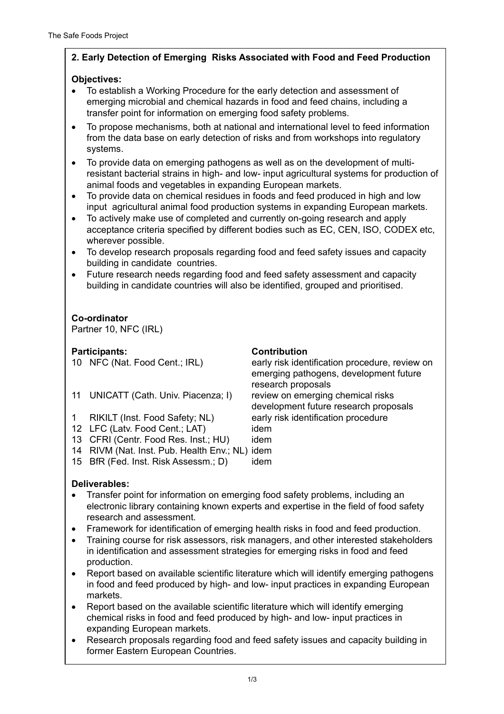# **2. Early Detection of Emerging Risks Associated with Food and Feed Production**

## **Objectives:**

- To establish a Working Procedure for the early detection and assessment of emerging microbial and chemical hazards in food and feed chains, including a transfer point for information on emerging food safety problems.
- To propose mechanisms, both at national and international level to feed information from the data base on early detection of risks and from workshops into regulatory systems.
- To provide data on emerging pathogens as well as on the development of multiresistant bacterial strains in high- and low- input agricultural systems for production of animal foods and vegetables in expanding European markets.
- To provide data on chemical residues in foods and feed produced in high and low input agricultural animal food production systems in expanding European markets.
- To actively make use of completed and currently on-going research and apply acceptance criteria specified by different bodies such as EC, CEN, ISO, CODEX etc, wherever possible.
- To develop research proposals regarding food and feed safety issues and capacity building in candidate countries.
- Future research needs regarding food and feed safety assessment and capacity building in candidate countries will also be identified, grouped and prioritised.

# **Co-ordinator**

Partner 10, NFC (IRL)

## Participants: Contribution **Participants:**

- 11 UNICATT (Cath. Univ. Piacenza; I) review on emerging chemical risks
- 1 RIKILT (Inst. Food Safety; NL) early risk identification procedure
- 12 LFC (Latv. Food Cent.; LAT) idem
- 13 CFRI (Centr. Food Res. Inst.; HU) idem
- 14 RIVM (Nat. Inst. Pub. Health Env.; NL) idem
- 15 BfR (Fed. Inst. Risk Assessm.: D) idem

10 NFC (Nat. Food Cent.; IRL) early risk identification procedure, review on emerging pathogens, development future research proposals development future research proposals

# **Deliverables:**

- Transfer point for information on emerging food safety problems, including an electronic library containing known experts and expertise in the field of food safety research and assessment.
- Framework for identification of emerging health risks in food and feed production.
- Training course for risk assessors, risk managers, and other interested stakeholders in identification and assessment strategies for emerging risks in food and feed production.
- Report based on available scientific literature which will identify emerging pathogens in food and feed produced by high- and low- input practices in expanding European markets.
- Report based on the available scientific literature which will identify emerging chemical risks in food and feed produced by high- and low- input practices in expanding European markets.
- Research proposals regarding food and feed safety issues and capacity building in former Eastern European Countries.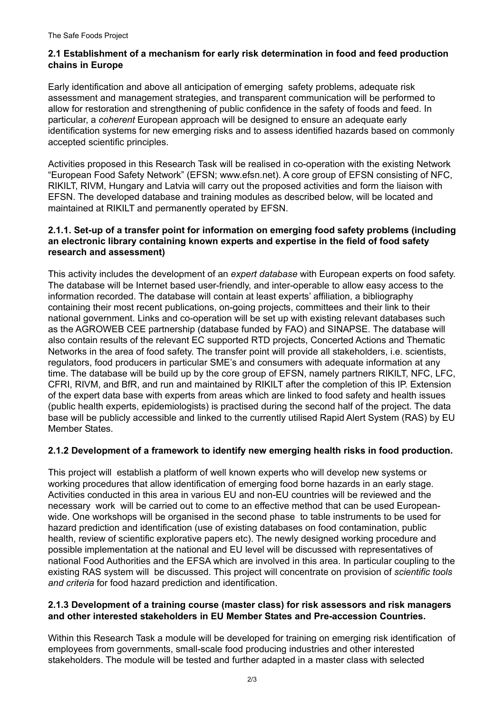### **2.1 Establishment of a mechanism for early risk determination in food and feed production chains in Europe**

Early identification and above all anticipation of emerging safety problems, adequate risk assessment and management strategies, and transparent communication will be performed to allow for restoration and strengthening of public confidence in the safety of foods and feed. In particular, a *coherent* European approach will be designed to ensure an adequate early identification systems for new emerging risks and to assess identified hazards based on commonly accepted scientific principles.

Activities proposed in this Research Task will be realised in co-operation with the existing Network "European Food Safety Network" (EFSN; www.efsn.net). A core group of EFSN consisting of NFC, RIKILT, RIVM, Hungary and Latvia will carry out the proposed activities and form the liaison with EFSN. The developed database and training modules as described below, will be located and maintained at RIKILT and permanently operated by EFSN.

#### **2.1.1. Set-up of a transfer point for information on emerging food safety problems (including an electronic library containing known experts and expertise in the field of food safety research and assessment)**

This activity includes the development of an *expert database* with European experts on food safety. The database will be Internet based user-friendly, and inter-operable to allow easy access to the information recorded. The database will contain at least experts' affiliation, a bibliography containing their most recent publications, on-going projects, committees and their link to their national government. Links and co-operation will be set up with existing relevant databases such as the AGROWEB CEE partnership (database funded by FAO) and SINAPSE. The database will also contain results of the relevant EC supported RTD projects, Concerted Actions and Thematic Networks in the area of food safety. The transfer point will provide all stakeholders, i.e. scientists, regulators, food producers in particular SME's and consumers with adequate information at any time. The database will be build up by the core group of EFSN, namely partners RIKILT, NFC, LFC, CFRI, RIVM, and BfR, and run and maintained by RIKILT after the completion of this IP. Extension of the expert data base with experts from areas which are linked to food safety and health issues (public health experts, epidemiologists) is practised during the second half of the project. The data base will be publicly accessible and linked to the currently utilised Rapid Alert System (RAS) by EU Member States.

## **2.1.2 Development of a framework to identify new emerging health risks in food production.**

This project will establish a platform of well known experts who will develop new systems or working procedures that allow identification of emerging food borne hazards in an early stage. Activities conducted in this area in various EU and non-EU countries will be reviewed and the necessary work will be carried out to come to an effective method that can be used Europeanwide. One workshops will be organised in the second phase to table instruments to be used for hazard prediction and identification (use of existing databases on food contamination, public health, review of scientific explorative papers etc). The newly designed working procedure and possible implementation at the national and EU level will be discussed with representatives of national Food Authorities and the EFSA which are involved in this area. In particular coupling to the existing RAS system will be discussed. This project will concentrate on provision of *scientific tools and criteria* for food hazard prediction and identification.

#### **2.1.3 Development of a training course (master class) for risk assessors and risk managers and other interested stakeholders in EU Member States and Pre-accession Countries.**

Within this Research Task a module will be developed for training on emerging risk identification of employees from governments, small-scale food producing industries and other interested stakeholders. The module will be tested and further adapted in a master class with selected